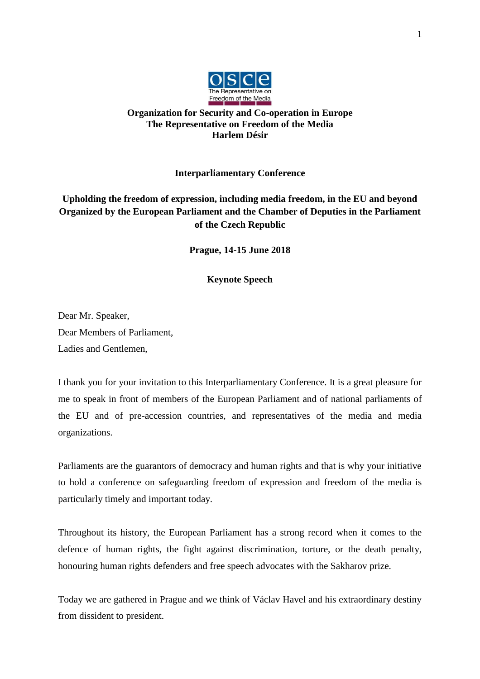

## **Organization for Security and Co-operation in Europe The Representative on Freedom of the Media Harlem Désir**

## **Interparliamentary Conference**

## **Upholding the freedom of expression, including media freedom, in the EU and beyond Organized by the European Parliament and the Chamber of Deputies in the Parliament of the Czech Republic**

**Prague, 14-15 June 2018**

**Keynote Speech**

Dear Mr. Speaker, Dear Members of Parliament, Ladies and Gentlemen,

I thank you for your invitation to this Interparliamentary Conference. It is a great pleasure for me to speak in front of members of the European Parliament and of national parliaments of the EU and of pre-accession countries, and representatives of the media and media organizations.

Parliaments are the guarantors of democracy and human rights and that is why your initiative to hold a conference on safeguarding freedom of expression and freedom of the media is particularly timely and important today.

Throughout its history, the European Parliament has a strong record when it comes to the defence of human rights, the fight against discrimination, torture, or the death penalty, honouring human rights defenders and free speech advocates with the Sakharov prize.

Today we are gathered in Prague and we think of Václav Havel and his extraordinary destiny from dissident to president.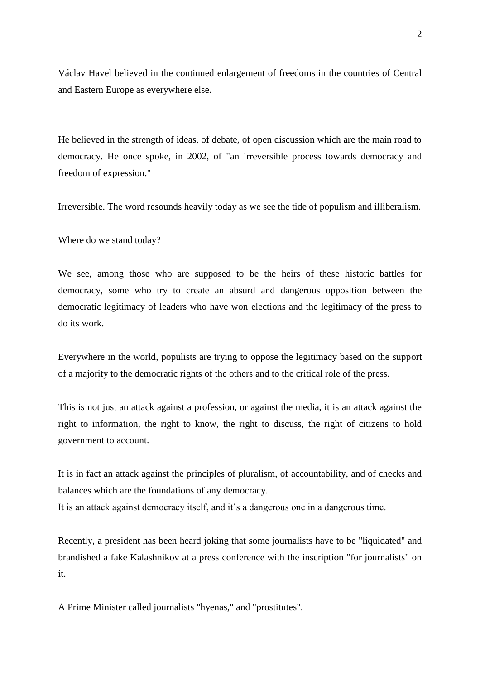Václav Havel believed in the continued enlargement of freedoms in the countries of Central and Eastern Europe as everywhere else.

He believed in the strength of ideas, of debate, of open discussion which are the main road to democracy. He once spoke, in 2002, of "an irreversible process towards democracy and freedom of expression."

Irreversible. The word resounds heavily today as we see the tide of populism and illiberalism.

Where do we stand today?

We see, among those who are supposed to be the heirs of these historic battles for democracy, some who try to create an absurd and dangerous opposition between the democratic legitimacy of leaders who have won elections and the legitimacy of the press to do its work.

Everywhere in the world, populists are trying to oppose the legitimacy based on the support of a majority to the democratic rights of the others and to the critical role of the press.

This is not just an attack against a profession, or against the media, it is an attack against the right to information, the right to know, the right to discuss, the right of citizens to hold government to account.

It is in fact an attack against the principles of pluralism, of accountability, and of checks and balances which are the foundations of any democracy.

It is an attack against democracy itself, and it's a dangerous one in a dangerous time.

Recently, a president has been heard joking that some journalists have to be "liquidated" and brandished a fake Kalashnikov at a press conference with the inscription "for journalists" on it.

A Prime Minister called journalists "hyenas," and "prostitutes".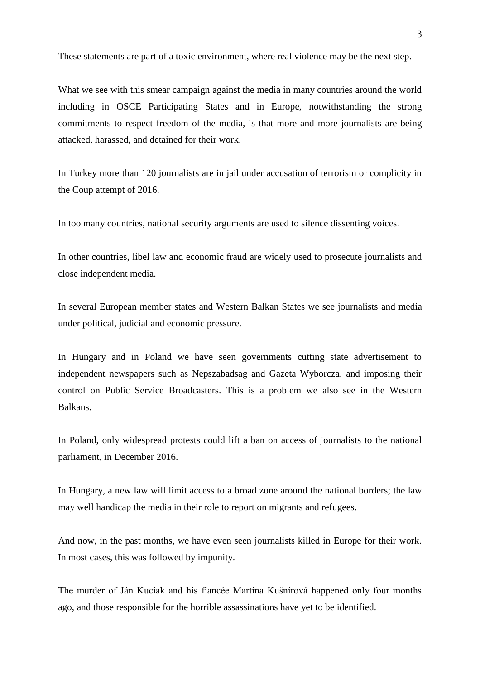These statements are part of a toxic environment, where real violence may be the next step.

What we see with this smear campaign against the media in many countries around the world including in OSCE Participating States and in Europe, notwithstanding the strong commitments to respect freedom of the media, is that more and more journalists are being attacked, harassed, and detained for their work.

In Turkey more than 120 journalists are in jail under accusation of terrorism or complicity in the Coup attempt of 2016.

In too many countries, national security arguments are used to silence dissenting voices.

In other countries, libel law and economic fraud are widely used to prosecute journalists and close independent media.

In several European member states and Western Balkan States we see journalists and media under political, judicial and economic pressure.

In Hungary and in Poland we have seen governments cutting state advertisement to independent newspapers such as Nepszabadsag and Gazeta Wyborcza, and imposing their control on Public Service Broadcasters. This is a problem we also see in the Western Balkans.

In Poland, only widespread protests could lift a ban on access of journalists to the national parliament, in December 2016.

In Hungary, a new law will limit access to a broad zone around the national borders; the law may well handicap the media in their role to report on migrants and refugees.

And now, in the past months, we have even seen journalists killed in Europe for their work. In most cases, this was followed by impunity.

The murder of Ján Kuciak and his fiancée Martina Kušnírová happened only four months ago, and those responsible for the horrible assassinations have yet to be identified.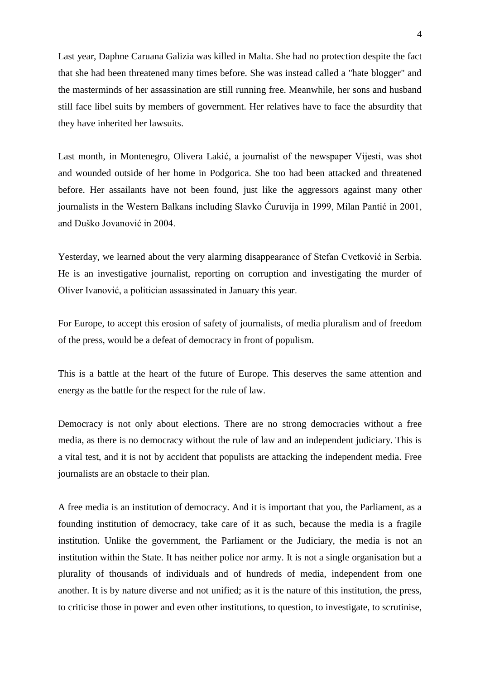Last year, Daphne Caruana Galizia was killed in Malta. She had no protection despite the fact that she had been threatened many times before. She was instead called a "hate blogger" and the masterminds of her assassination are still running free. Meanwhile, her sons and husband still face libel suits by members of government. Her relatives have to face the absurdity that they have inherited her lawsuits.

Last month, in Montenegro, Olivera Lakić, a journalist of the newspaper Vijesti, was shot and wounded outside of her home in Podgorica. She too had been attacked and threatened before. Her assailants have not been found, just like the aggressors against many other journalists in the Western Balkans including Slavko Ćuruvija in 1999, Milan Pantić in 2001, and Duško Jovanović in 2004.

Yesterday, we learned about the very alarming disappearance of Stefan Cvetković in Serbia. He is an investigative journalist, reporting on corruption and investigating the murder of Oliver Ivanović, a politician assassinated in January this year.

For Europe, to accept this erosion of safety of journalists, of media pluralism and of freedom of the press, would be a defeat of democracy in front of populism.

This is a battle at the heart of the future of Europe. This deserves the same attention and energy as the battle for the respect for the rule of law.

Democracy is not only about elections. There are no strong democracies without a free media, as there is no democracy without the rule of law and an independent judiciary. This is a vital test, and it is not by accident that populists are attacking the independent media. Free journalists are an obstacle to their plan.

A free media is an institution of democracy. And it is important that you, the Parliament, as a founding institution of democracy, take care of it as such, because the media is a fragile institution. Unlike the government, the Parliament or the Judiciary, the media is not an institution within the State. It has neither police nor army. It is not a single organisation but a plurality of thousands of individuals and of hundreds of media, independent from one another. It is by nature diverse and not unified; as it is the nature of this institution, the press, to criticise those in power and even other institutions, to question, to investigate, to scrutinise,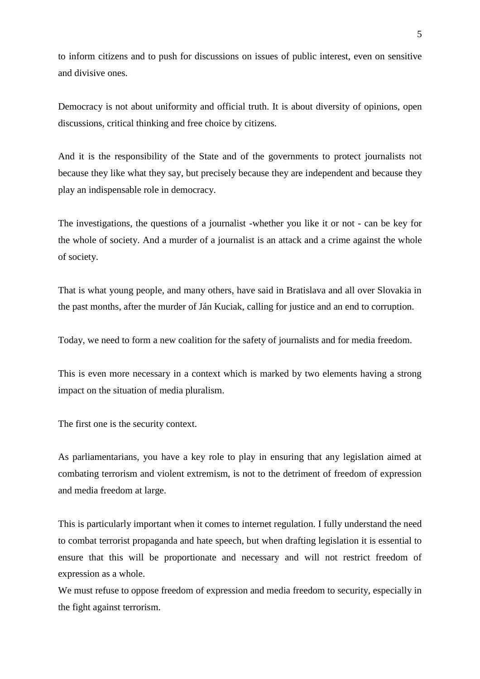to inform citizens and to push for discussions on issues of public interest, even on sensitive and divisive ones.

Democracy is not about uniformity and official truth. It is about diversity of opinions, open discussions, critical thinking and free choice by citizens.

And it is the responsibility of the State and of the governments to protect journalists not because they like what they say, but precisely because they are independent and because they play an indispensable role in democracy.

The investigations, the questions of a journalist -whether you like it or not - can be key for the whole of society. And a murder of a journalist is an attack and a crime against the whole of society.

That is what young people, and many others, have said in Bratislava and all over Slovakia in the past months, after the murder of Ján Kuciak, calling for justice and an end to corruption.

Today, we need to form a new coalition for the safety of journalists and for media freedom.

This is even more necessary in a context which is marked by two elements having a strong impact on the situation of media pluralism.

The first one is the security context.

As parliamentarians, you have a key role to play in ensuring that any legislation aimed at combating terrorism and violent extremism, is not to the detriment of freedom of expression and media freedom at large.

This is particularly important when it comes to internet regulation. I fully understand the need to combat terrorist propaganda and hate speech, but when drafting legislation it is essential to ensure that this will be proportionate and necessary and will not restrict freedom of expression as a whole.

We must refuse to oppose freedom of expression and media freedom to security, especially in the fight against terrorism.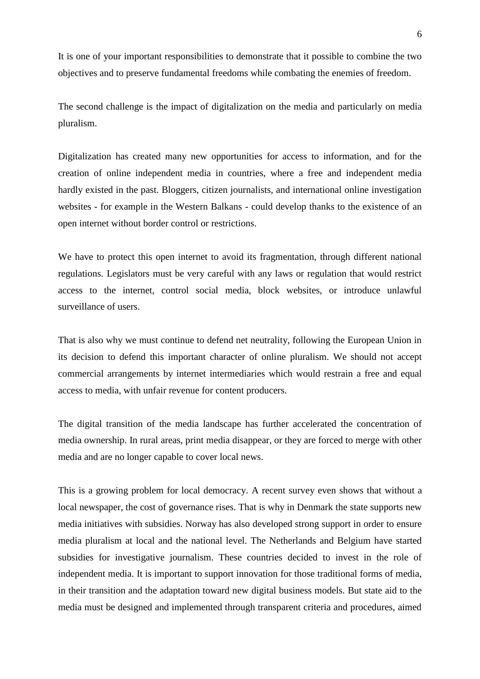It is one of your important responsibilities to demonstrate that it possible to combine the two objectives and to preserve fundamental freedoms while combating the enemies of freedom.

The second challenge is the impact of digitalization on the media and particularly on media pluralism.

Digitalization has created many new opportunities for access to information, and for the creation of online independent media in countries, where a free and independent media hardly existed in the past. Bloggers, citizen journalists, and international online investigation websites - for example in the Western Balkans - could develop thanks to the existence of an open internet without border control or restrictions.

We have to protect this open internet to avoid its fragmentation, through different national regulations. Legislators must be very careful with any laws or regulation that would restrict access to the internet, control social media, block websites, or introduce unlawful surveillance of users.

That is also why we must continue to defend net neutrality, following the European Union in its decision to defend this important character of online pluralism. We should not accept commercial arrangements by internet intermediaries which would restrain a free and equal access to media, with unfair revenue for content producers.

The digital transition of the media landscape has further accelerated the concentration of media ownership. In rural areas, print media disappear, or they are forced to merge with other media and are no longer capable to cover local news.

This is a growing problem for local democracy. A recent survey even shows that without a local newspaper, the cost of governance rises. That is why in Denmark the state supports new media initiatives with subsidies. Norway has also developed strong support in order to ensure media pluralism at local and the national level. The Netherlands and Belgium have started subsidies for investigative journalism. These countries decided to invest in the role of independent media. It is important to support innovation for those traditional forms of media, in their transition and the adaptation toward new digital business models. But state aid to the media must be designed and implemented through transparent criteria and procedures, aimed